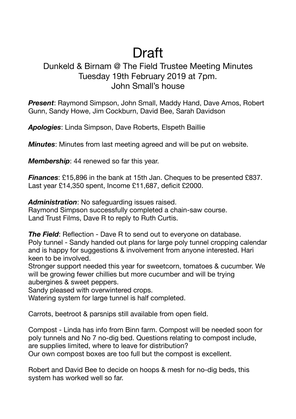## Draft

## Dunkeld & Birnam @ The Field Trustee Meeting Minutes Tuesday 19th February 2019 at 7pm. John Small's house

*Present*: Raymond Simpson, John Small, Maddy Hand, Dave Amos, Robert Gunn, Sandy Howe, Jim Cockburn, David Bee, Sarah Davidson

*Apologies*: Linda Simpson, Dave Roberts, Elspeth Baillie

*Minutes*: Minutes from last meeting agreed and will be put on website.

*Membership*: 44 renewed so far this year.

*Finances*: £15,896 in the bank at 15th Jan. Cheques to be presented £837. Last year £14,350 spent, Income £11,687, deficit £2000.

*Administration*: No safeguarding issues raised.

Raymond Simpson successfully completed a chain-saw course. Land Trust Films, Dave R to reply to Ruth Curtis.

**The Field:** Reflection - Dave R to send out to everyone on database. Poly tunnel - Sandy handed out plans for large poly tunnel cropping calendar and is happy for suggestions & involvement from anyone interested. Hari keen to be involved.

Stronger support needed this year for sweetcorn, tomatoes & cucumber. We will be growing fewer chillies but more cucumber and will be trying aubergines & sweet peppers.

Sandy pleased with overwintered crops.

Watering system for large tunnel is half completed.

Carrots, beetroot & parsnips still available from open field.

Compost - Linda has info from Binn farm. Compost will be needed soon for poly tunnels and No 7 no-dig bed. Questions relating to compost include, are supplies limited, where to leave for distribution? Our own compost boxes are too full but the compost is excellent.

Robert and David Bee to decide on hoops & mesh for no-dig beds, this system has worked well so far.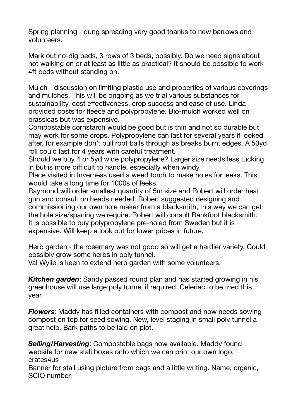Spring planning - dung spreading very good thanks to new barrows and volunteers.

Mark out no-dig beds, 3 rows of 3 beds, possibly. Do we need signs about not walking on or at least as little as practical? It should be possible to work 4ft beds without standing on.

Mulch - discussion on limiting plastic use and properties of various coverings and mulches. This will be ongoing as we trial various substances for sustainability, cost effectiveness, crop success and ease of use. Linda provided costs for fleece and polypropylene. Bio-mulch worked well on brassicas but was expensive.

Compostable cornstarch would be good but is thin and not so durable but may work for some crops. Polypropylene can last for several years if looked after, for example don't pull root balls through as breaks burnt edges. A 50yd roll could last for 4 years with careful treatment.

Should we buy 4 or 5yd wide polypropylene? Larger size needs less tucking in but is more difficult to handle, especially when windy.

Place visited in Inverness used a weed torch to make holes for leeks. This would take a long time for 1000s of leeks.

Raymond will order smallest quantity of 5m size and Robert will order heat gun and consult on heads needed. Robert suggested designing and commissioning our own hole maker from a blacksmith, this way we can get the hole size/spacing we require. Robert will consult Bankfoot blacksmith. It is possible to buy polypropylene pre-holed from Sweden but it is expensive. Will keep a look out for lower prices in future.

Herb garden - the rosemary was not good so will get a hardier variety. Could possibly grow some herbs in poly tunnel.

Val Wylie is keen to extend herb garden with some volunteers.

*Kitchen garden*: Sandy passed round plan and has started growing in his greenhouse will use large poly tunnel if required. Celeriac to be tried this year.

*Flowers*: Maddy has filled containers with compost and now needs sowing compost on top for seed sowing. New, level staging in small poly tunnel a great help. Bark paths to be laid on plot.

*Selling/Harvesting*: Compostable bags now available. Maddy found website for new stall boxes onto which we can print our own logo. crates4us

Banner for stall using picture from bags and a little writing. Name, organic, SCIO number.